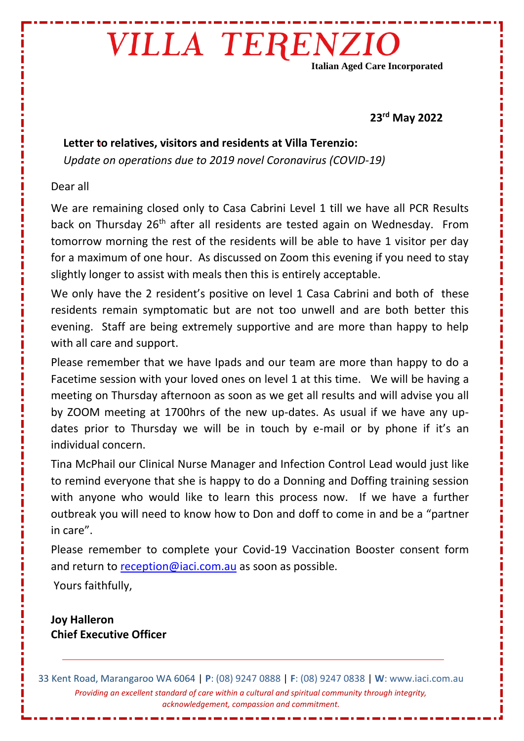# VILLA TERENZIO

**Italian Aged Care Incorporated**

#### **23rd May 2022**

### **Letter to relatives, visitors and residents at Villa Terenzio:**

*Update on operations due to 2019 novel Coronavirus (COVID-19)* 

#### Dear all

We are remaining closed only to Casa Cabrini Level 1 till we have all PCR Results back on Thursday 26<sup>th</sup> after all residents are tested again on Wednesday. From tomorrow morning the rest of the residents will be able to have 1 visitor per day for a maximum of one hour. As discussed on Zoom this evening if you need to stay slightly longer to assist with meals then this is entirely acceptable.

We only have the 2 resident's positive on level 1 Casa Cabrini and both of these residents remain symptomatic but are not too unwell and are both better this evening. Staff are being extremely supportive and are more than happy to help with all care and support.

Please remember that we have Ipads and our team are more than happy to do a Facetime session with your loved ones on level 1 at this time. We will be having a meeting on Thursday afternoon as soon as we get all results and will advise you all by ZOOM meeting at 1700hrs of the new up-dates. As usual if we have any updates prior to Thursday we will be in touch by e-mail or by phone if it's an individual concern.

Tina McPhail our Clinical Nurse Manager and Infection Control Lead would just like to remind everyone that she is happy to do a Donning and Doffing training session with anyone who would like to learn this process now. If we have a further outbreak you will need to know how to Don and doff to come in and be a "partner in care".

Please remember to complete your Covid-19 Vaccination Booster consent form and return to [reception@iaci.com.au](mailto:reception@iaci.com.au) as soon as possible.

Yours faithfully,

**Joy Halleron Chief Executive Officer**

33 Kent Road, Marangaroo WA 6064 | **P**: (08) 9247 0888 | **F**: (08) 9247 0838 | **W**: www.iaci.com.au *Providing an excellent standard of care within a cultural and spiritual community through integrity, acknowledgement, compassion and commitment.*